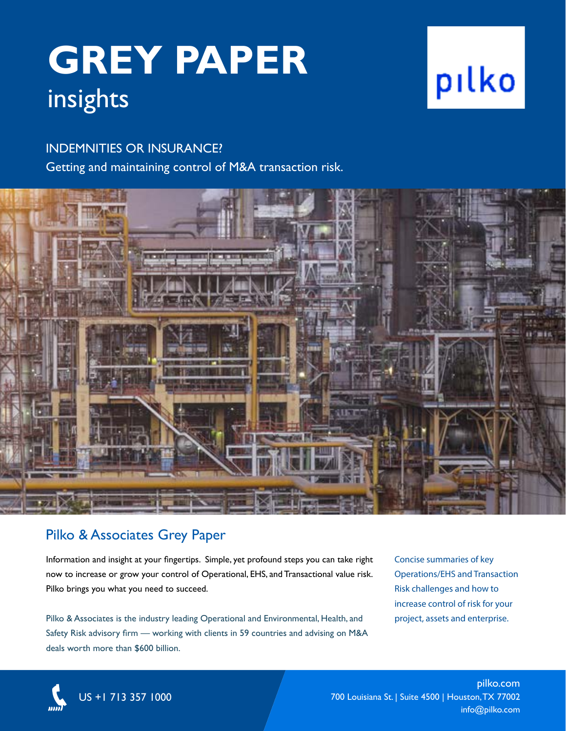## **GREY PAPER** insights

### INDEMNITIES OR INSURANCE?

Getting and maintaining control of M&A transaction risk.

### Pilko & Associates Grey Paper

Information and insight at your fingertips. Simple, yet profound steps you can take right now to increase or grow your control of Operational, EHS, and Transactional value risk. Pilko brings you what you need to succeed.

Pilko & Associates is the industry leading Operational and Environmental, Health, and Safety Risk advisory firm — working with clients in 59 countries and advising on M&A deals worth more than \$600 billion.

Concise summaries of key Operations/EHS and Transaction Risk challenges and how to increase control of risk for your project, assets and enterprise.



US +1 713 357 1000

pilko.com 700 Louisiana St. | Suite 4500 | Houston, TX 77002 info@pilko.com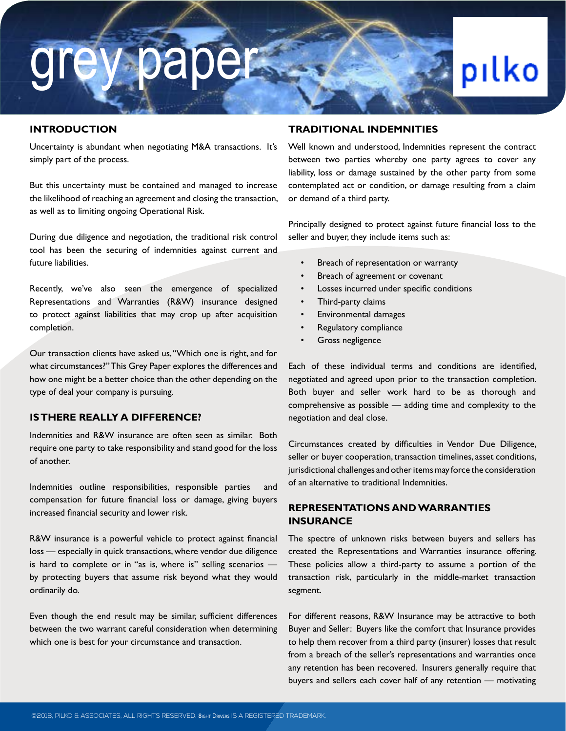# grey paper

### pilko

### **INTRODUCTION**

Uncertainty is abundant when negotiating M&A transactions. It's simply part of the process.

But this uncertainty must be contained and managed to increase the likelihood of reaching an agreement and closing the transaction, as well as to limiting ongoing Operational Risk.

During due diligence and negotiation, the traditional risk control tool has been the securing of indemnities against current and future liabilities.

Recently, we've also seen the emergence of specialized Representations and Warranties (R&W) insurance designed to protect against liabilities that may crop up after acquisition completion.

Our transaction clients have asked us, "Which one is right, and for what circumstances?" This Grey Paper explores the differences and how one might be a better choice than the other depending on the type of deal your company is pursuing.

### **IS THERE REALLY A DIFFERENCE?**

Indemnities and R&W insurance are often seen as similar. Both require one party to take responsibility and stand good for the loss of another.

Indemnities outline responsibilities, responsible parties and compensation for future financial loss or damage, giving buyers increased financial security and lower risk.

R&W insurance is a powerful vehicle to protect against financial loss — especially in quick transactions, where vendor due diligence is hard to complete or in "as is, where is" selling scenarios by protecting buyers that assume risk beyond what they would ordinarily do.

Even though the end result may be similar, sufficient differences between the two warrant careful consideration when determining which one is best for your circumstance and transaction.

### **TRADITIONAL INDEMNITIES**

Well known and understood, Indemnities represent the contract between two parties whereby one party agrees to cover any liability, loss or damage sustained by the other party from some contemplated act or condition, or damage resulting from a claim or demand of a third party.

Principally designed to protect against future financial loss to the seller and buyer, they include items such as:

- Breach of representation or warranty
- Breach of agreement or covenant
- Losses incurred under specific conditions
- Third-party claims
- Environmental damages
- Regulatory compliance
- Gross negligence

Each of these individual terms and conditions are identified, negotiated and agreed upon prior to the transaction completion. Both buyer and seller work hard to be as thorough and comprehensive as possible — adding time and complexity to the negotiation and deal close.

Circumstances created by difficulties in Vendor Due Diligence, seller or buyer cooperation, transaction timelines, asset conditions, jurisdictional challenges and other items may force the consideration of an alternative to traditional Indemnities.

### **REPRESENTATIONS AND WARRANTIES INSURANCE**

The spectre of unknown risks between buyers and sellers has created the Representations and Warranties insurance offering. These policies allow a third-party to assume a portion of the transaction risk, particularly in the middle-market transaction segment.

For different reasons, R&W Insurance may be attractive to both Buyer and Seller: Buyers like the comfort that Insurance provides to help them recover from a third party (insurer) losses that result from a breach of the seller's representations and warranties once any retention has been recovered. Insurers generally require that buyers and sellers each cover half of any retention — motivating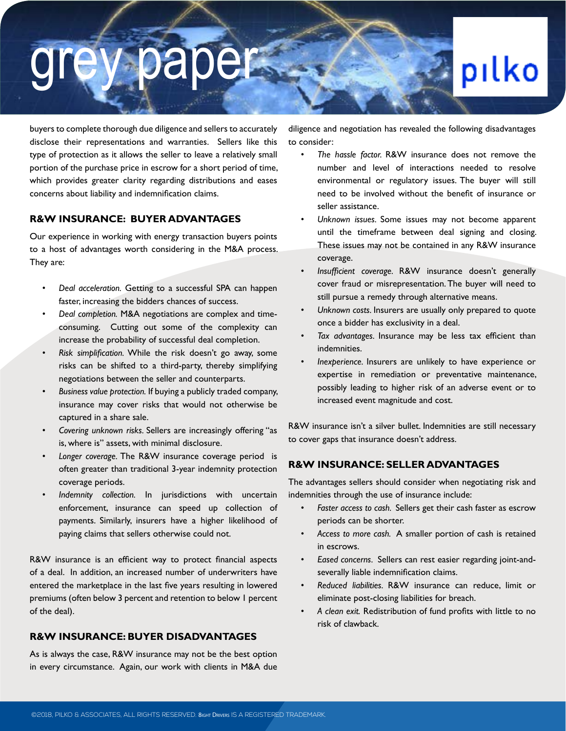# grey paper

### pilko

buyers to complete thorough due diligence and sellers to accurately disclose their representations and warranties. Sellers like this type of protection as it allows the seller to leave a relatively small portion of the purchase price in escrow for a short period of time, which provides greater clarity regarding distributions and eases concerns about liability and indemnification claims.

#### **R&W INSURANCE: BUYER ADVANTAGES**

Our experience in working with energy transaction buyers points to a host of advantages worth considering in the M&A process. They are:

- *• Deal acceleration.* Getting to a successful SPA can happen faster, increasing the bidders chances of success.
- *• Deal completion.* M&A negotiations are complex and timeconsuming. Cutting out some of the complexity can increase the probability of successful deal completion.
- *• Risk simplification.* While the risk doesn't go away, some risks can be shifted to a third-party, thereby simplifying negotiations between the seller and counterparts.
- *• Business value protection.* If buying a publicly traded company, insurance may cover risks that would not otherwise be captured in a share sale.
- *• Covering unknown risks.* Sellers are increasingly offering "as is, where is" assets, with minimal disclosure.
- *• Longer coverage.* The R&W insurance coverage period is often greater than traditional 3-year indemnity protection coverage periods.
- *• Indemnity collection.* In jurisdictions with uncertain enforcement, insurance can speed up collection of payments. Similarly, insurers have a higher likelihood of paying claims that sellers otherwise could not.

R&W insurance is an efficient way to protect financial aspects of a deal. In addition, an increased number of underwriters have entered the marketplace in the last five years resulting in lowered premiums (often below 3 percent and retention to below 1 percent of the deal).

### **R&W INSURANCE: BUYER DISADVANTAGES**

As is always the case, R&W insurance may not be the best option in every circumstance. Again, our work with clients in M&A due

diligence and negotiation has revealed the following disadvantages to consider:

- *• The hassle factor.* R&W insurance does not remove the number and level of interactions needed to resolve environmental or regulatory issues. The buyer will still need to be involved without the benefit of insurance or seller assistance.
- *• Unknown issues.* Some issues may not become apparent until the timeframe between deal signing and closing. These issues may not be contained in any R&W insurance coverage.
- *• Insufficient coverage.* R&W insurance doesn't generally cover fraud or misrepresentation. The buyer will need to still pursue a remedy through alternative means.
- *• Unknown costs.* Insurers are usually only prepared to quote once a bidder has exclusivity in a deal.
- *• Tax advantages.* Insurance may be less tax efficient than indemnities.
- *• Inexperience.* Insurers are unlikely to have experience or expertise in remediation or preventative maintenance, possibly leading to higher risk of an adverse event or to increased event magnitude and cost.

R&W insurance isn't a silver bullet. Indemnities are still necessary to cover gaps that insurance doesn't address.

### **R&W INSURANCE: SELLER ADVANTAGES**

The advantages sellers should consider when negotiating risk and indemnities through the use of insurance include:

- *• Faster access to cash.* Sellers get their cash faster as escrow periods can be shorter.
- *• Access to more cash.* A smaller portion of cash is retained in escrows.
- *• Eased concerns.* Sellers can rest easier regarding joint-andseverally liable indemnification claims.
- *• Reduced liabilities.* R&W insurance can reduce, limit or eliminate post-closing liabilities for breach.
- *• A clean exit.* Redistribution of fund profits with little to no risk of clawback.